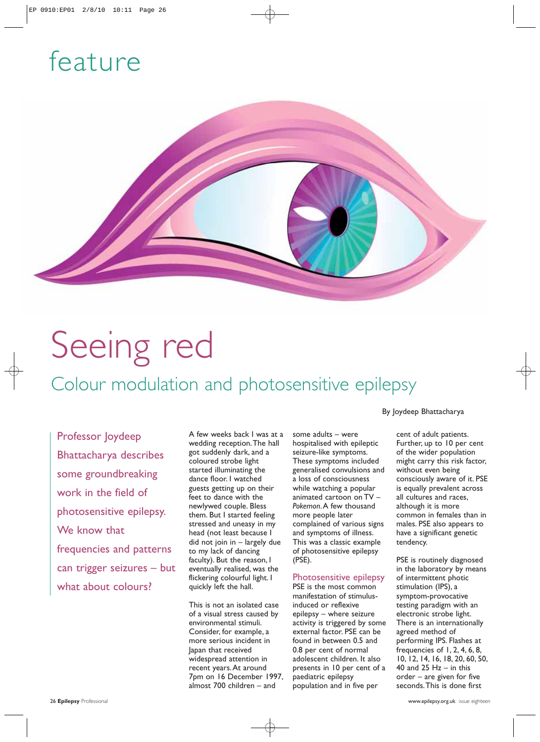## feature



# Seeing red

### Colour modulation and photosensitive epilepsy

Professor Joydeep Bhattacharya describes some groundbreaking work in the field of photosensitive epilepsy. We know that frequencies and patterns can trigger seizures – but what about colours?

A few weeks back I was at a wedding reception. The hall got suddenly dark, and a coloured strobe light started illuminating the dance floor. I watched guests getting up on their feet to dance with the newlywed couple. Bless them. But I started feeling stressed and uneasy in my head (not least because I did not join in – largely due to my lack of dancing faculty). But the reason, I eventually realised, was the flickering colourful light. I quickly left the hall.

This is not an isolated case of a visual stress caused by environmental stimuli. Consider, for example, a more serious incident in Japan that received widespread attention in recent years. At around 7pm on 16 December 1997, almost 700 children – and

some adults – were hospitalised with epileptic seizure-like symptoms. These symptoms included generalised convulsions and a loss of consciousness while watching a popular animated cartoon on TV – *Pokemon*. A few thousand more people later complained of various signs and symptoms of illness. This was a classic example of photosensitive epilepsy (PSE).

#### Photosensitive epilepsy

PSE is the most common manifestation of stimulusinduced or reflexive epilepsy – where seizure activity is triggered by some external factor. PSE can be found in between 0.5 and 0.8 per cent of normal adolescent children. It also presents in 10 per cent of a paediatric epilepsy population and in five per

#### By Joydeep Bhattacharya

cent of adult patients. Further, up to 10 per cent of the wider population might carry this risk factor, without even being consciously aware of it. PSE is equally prevalent across all cultures and races, although it is more common in females than in males. PSE also appears to have a significant genetic tendency.

PSE is routinely diagnosed in the laboratory by means of intermittent photic stimulation (IPS), a symptom-provocative testing paradigm with an electronic strobe light. There is an internationally agreed method of performing IPS. Flashes at frequencies of 1, 2, 4, 6, 8, 10, 12, 14, 16, 18, 20, 60, 50, 40 and 25  $Hz - in$  this order – are given for five seconds. This is done first

26 **Epilepsy** Professional www.epilepsy.org.uk issue eighteen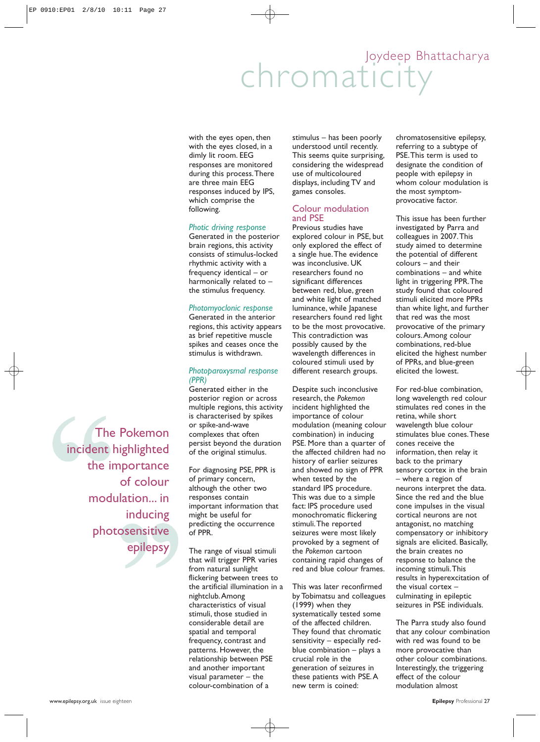### chromaticity Joydeep Bhattacharya

with the eyes open, then with the eyes closed, in a dimly lit room. EEG responses are monitored during this process. There are three main EEG responses induced by IPS, which comprise the following.

#### *Photic driving response*

Generated in the posterior brain regions, this activity consists of stimulus-locked rhythmic activity with a frequency identical – or harmonically related to – the stimulus frequency.

#### *Photomyoclonic response*

Generated in the anterior regions, this activity appears as brief repetitive muscle spikes and ceases once the stimulus is withdrawn.

#### *Photoparoxysmal response (PPR)*

Generated either in the posterior region or across multiple regions, this activity is characterised by spikes or spike-and-wave complexes that often persist beyond the duration of the original stimulus.

For diagnosing PSE, PPR is of primary concern, although the other two responses contain important information that might be useful for predicting the occurrence of PPR.

The range of visual stimuli that will trigger PPR varies from natural sunlight flickering between trees to the artificial illumination in a nightclub. Among characteristics of visual stimuli, those studied in considerable detail are spatial and temporal frequency, contrast and patterns. However, the relationship between PSE and another important visual parameter – the colour-combination of a

stimulus – has been poorly understood until recently. This seems quite surprising, considering the widespread use of multicoloured displays, including TV and games consoles.

#### Colour modulation and PSE

Previous studies have explored colour in PSE, but only explored the effect of a single hue. The evidence was inconclusive. UK researchers found no significant differences between red, blue, green and white light of matched luminance, while Japanese researchers found red light to be the most provocative. This contradiction was possibly caused by the wavelength differences in coloured stimuli used by different research groups.

Despite such inconclusive research, the *Pokemon* incident highlighted the importance of colour modulation (meaning colour combination) in inducing PSE. More than a quarter of the affected children had no history of earlier seizures and showed no sign of PPR when tested by the standard IPS procedure. This was due to a simple fact: IPS procedure used monochromatic flickering stimuli. The reported seizures were most likely provoked by a segment of the *Pokemon* cartoon containing rapid changes of red and blue colour frames.

This was later reconfirmed by Tobimatsu and colleagues (1999) when they systematically tested some of the affected children. They found that chromatic sensitivity – especially redblue combination – plays a crucial role in the generation of seizures in these patients with PSE. A new term is coined:

chromatosensitive epilepsy, referring to a subtype of PSE. This term is used to designate the condition of people with epilepsy in whom colour modulation is the most symptomprovocative factor.

This issue has been further investigated by Parra and colleagues in 2007. This study aimed to determine the potential of different colours – and their combinations – and white light in triggering PPR. The study found that coloured stimuli elicited more PPRs than white light, and further that red was the most provocative of the primary colours. Among colour combinations, red-blue elicited the highest number of PPRs, and blue-green elicited the lowest.

For red-blue combination, long wavelength red colour stimulates red cones in the retina, while short wavelength blue colour stimulates blue cones. These cones receive the information, then relay it back to the primary sensory cortex in the brain – where a region of neurons interpret the data. Since the red and the blue cone impulses in the visual cortical neurons are not antagonist, no matching compensatory or inhibitory signals are elicited. Basically, the brain creates no response to balance the incoming stimuli. This results in hyperexcitation of the visual cortex – culminating in epileptic seizures in PSE individuals.

The Parra study also found that any colour combination with red was found to be more provocative than other colour combinations. Interestingly, the triggering effect of the colour modulation almost

The Pokemon incident highlighted the importance of colour modulation... in inducing photosensitive epilepsy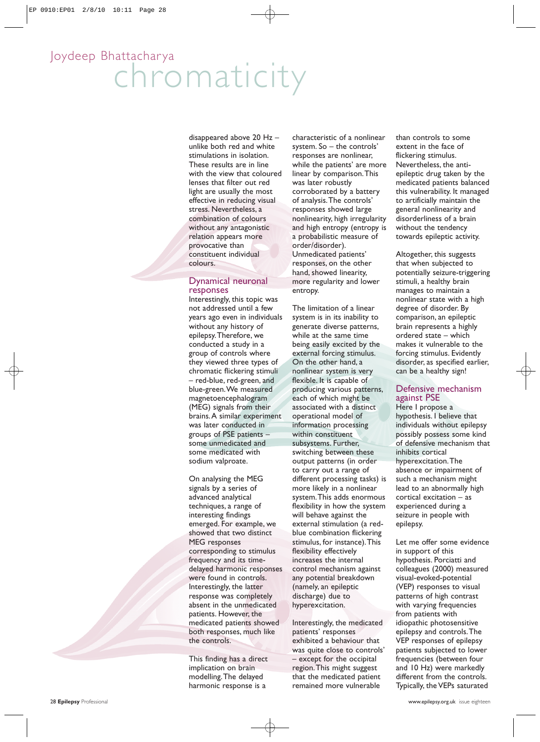### chromaticity Joydeep Bhattacharya

disappeared above 20 Hz – unlike both red and white stimulations in isolation. These results are in line with the view that coloured lenses that filter out red light are usually the most effective in reducing visual stress. Nevertheless, a combination of colours without any antagonistic relation appears more provocative than constituent individual colours.

#### Dynamical neuronal responses

Interestingly, this topic was not addressed until a few years ago even in individuals without any history of epilepsy. Therefore, we conducted a study in a group of controls where they viewed three types of chromatic flickering stimuli – red-blue, red-green, and blue-green. We measured magnetoencephalogram (MEG) signals from their brains. A similar experiment was later conducted in groups of PSE patients – some unmedicated and some medicated with sodium valproate.

On analysing the MEG signals by a series of advanced analytical techniques, a range of interesting findings emerged. For example, we showed that two distinct MEG responses corresponding to stimulus frequency and its timedelayed harmonic responses were found in controls. Interestingly, the latter response was completely absent in the unmedicated patients. However, the medicated patients showed both responses, much like the controls.

This finding has a direct implication on brain modelling. The delayed harmonic response is a

characteristic of a nonlinear system. So – the controls' responses are nonlinear, while the patients' are more linear by comparison. This was later robustly corroborated by a battery of analysis. The controls' responses showed large nonlinearity, high irregularity and high entropy (entropy is a probabilistic measure of order/disorder). Unmedicated patients' responses, on the other hand, showed linearity, more regularity and lower entropy.

The limitation of a linear system is in its inability to generate diverse patterns, while at the same time being easily excited by the external forcing stimulus. On the other hand, a nonlinear system is very flexible. It is capable of producing various patterns, each of which might be associated with a distinct operational model of information processing within constituent subsystems. Further, switching between these output patterns (in order to carry out a range of different processing tasks) is more likely in a nonlinear system. This adds enormous flexibility in how the system will behave against the external stimulation (a redblue combination flickering stimulus, for instance). This flexibility effectively increases the internal control mechanism against any potential breakdown (namely, an epileptic discharge) due to hyperexcitation.

Interestingly, the medicated patients' responses exhibited a behaviour that was quite close to controls' – except for the occipital region. This might suggest that the medicated patient remained more vulnerable

than controls to some extent in the face of flickering stimulus. Nevertheless, the antiepileptic drug taken by the medicated patients balanced this vulnerability. It managed to artificially maintain the general nonlinearity and disorderliness of a brain without the tendency towards epileptic activity.

Altogether, this suggests that when subjected to potentially seizure-triggering stimuli, a healthy brain manages to maintain a nonlinear state with a high degree of disorder. By comparison, an epileptic brain represents a highly ordered state – which makes it vulnerable to the forcing stimulus. Evidently disorder, as specified earlier, can be a healthy sign!

#### Defensive mechanism against PSE

Here I propose a hypothesis. I believe that individuals without epilepsy possibly possess some kind of defensive mechanism that inhibits cortical hyperexcitation. The absence or impairment of such a mechanism might lead to an abnormally high cortical excitation – as experienced during a seizure in people with epilepsy.

Let me offer some evidence in support of this hypothesis. Porciatti and colleagues (2000) measured visual-evoked-potential (VEP) responses to visual patterns of high contrast with varying frequencies from patients with idiopathic photosensitive epilepsy and controls. The VEP responses of epilepsy patients subjected to lower frequencies (between four and 10 Hz) were markedly different from the controls. Typically, the VEPs saturated

28 **Epilepsy** Professional www.epilepsy.org.uk issue eighteen